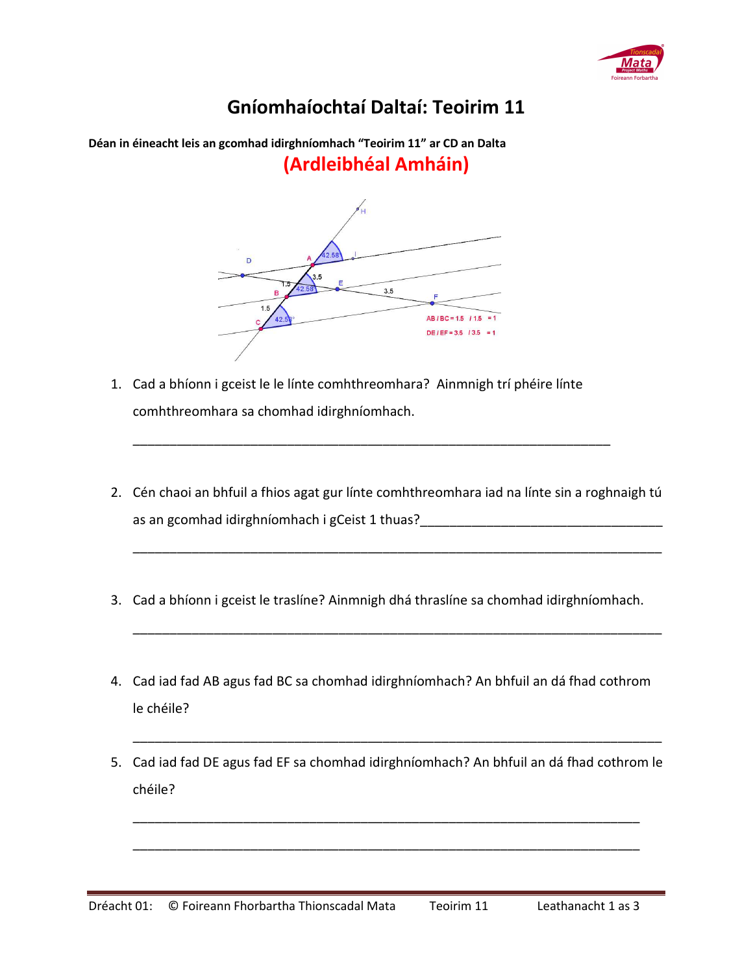

## **Gníomhaíochtaí Daltaí: Teoirim 11**

**Déan in éineacht leis an gcomhad idirghníomhach "Teoirim 11" ar CD an Dalta (Ardleibhéal Amháin)** 

 $3.5$  $AB/BC = 1.5 / 1.5$  $DEIEF = 3.5$  / 3.5 = 1

- 1. Cad a bhíonn i gceist le le línte comhthreomhara? Ainmnigh trí phéire línte comhthreomhara sa chomhad idirghníomhach.
- 2. Cén chaoi an bhfuil a fhios agat gur línte comhthreomhara iad na línte sin a roghnaigh tú as an gcomhad idirghníomhach i gCeist 1 thuas?\_\_\_\_\_\_\_\_\_\_\_\_\_\_\_\_\_\_\_\_\_\_\_\_\_\_\_\_\_\_\_\_\_

\_\_\_\_\_\_\_\_\_\_\_\_\_\_\_\_\_\_\_\_\_\_\_\_\_\_\_\_\_\_\_\_\_\_\_\_\_\_\_\_\_\_\_\_\_\_\_\_\_\_\_\_\_\_\_\_\_\_\_\_\_\_\_\_\_\_\_\_\_\_\_\_

\_\_\_\_\_\_\_\_\_\_\_\_\_\_\_\_\_\_\_\_\_\_\_\_\_\_\_\_\_\_\_\_\_\_\_\_\_\_\_\_\_\_\_\_\_\_\_\_\_\_\_\_\_\_\_\_\_\_\_\_\_\_\_\_\_\_\_\_\_\_\_\_

\_\_\_\_\_\_\_\_\_\_\_\_\_\_\_\_\_\_\_\_\_\_\_\_\_\_\_\_\_\_\_\_\_\_\_\_\_\_\_\_\_\_\_\_\_\_\_\_\_\_\_\_\_\_\_\_\_\_\_\_\_\_\_\_\_

- 3. Cad a bhíonn i gceist le traslíne? Ainmnigh dhá thraslíne sa chomhad idirghníomhach.
- 4. Cad iad fad AB agus fad BC sa chomhad idirghníomhach? An bhfuil an dá fhad cothrom le chéile?
- 5. Cad iad fad DE agus fad EF sa chomhad idirghníomhach? An bhfuil an dá fhad cothrom le chéile?

\_\_\_\_\_\_\_\_\_\_\_\_\_\_\_\_\_\_\_\_\_\_\_\_\_\_\_\_\_\_\_\_\_\_\_\_\_\_\_\_\_\_\_\_\_\_\_\_\_\_\_\_\_\_\_\_\_\_\_\_\_\_\_\_\_\_\_\_\_

\_\_\_\_\_\_\_\_\_\_\_\_\_\_\_\_\_\_\_\_\_\_\_\_\_\_\_\_\_\_\_\_\_\_\_\_\_\_\_\_\_\_\_\_\_\_\_\_\_\_\_\_\_\_\_\_\_\_\_\_\_\_\_\_\_\_\_\_\_

\_\_\_\_\_\_\_\_\_\_\_\_\_\_\_\_\_\_\_\_\_\_\_\_\_\_\_\_\_\_\_\_\_\_\_\_\_\_\_\_\_\_\_\_\_\_\_\_\_\_\_\_\_\_\_\_\_\_\_\_\_\_\_\_\_\_\_\_\_\_\_\_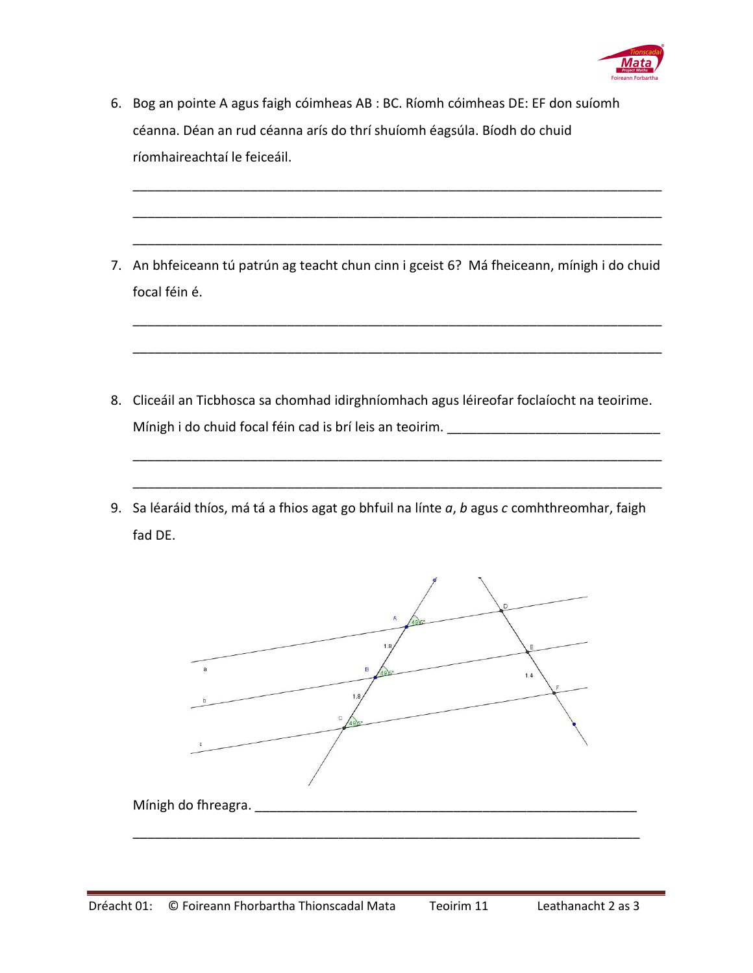

- 6. Bog an pointe A agus faigh cóimheas AB : BC. Ríomh cóimheas DE: EF don suíomh céanna. Déan an rud céanna arís do thrí shuíomh éagsúla. Bíodh do chuid ríomhaireachtaí le feiceáil.
- 7. An bhfeiceann tú patrún ag teacht chun cinn i gceist 6? Má fheiceann, mínigh i do chuid focal féin é.

\_\_\_\_\_\_\_\_\_\_\_\_\_\_\_\_\_\_\_\_\_\_\_\_\_\_\_\_\_\_\_\_\_\_\_\_\_\_\_\_\_\_\_\_\_\_\_\_\_\_\_\_\_\_\_\_\_\_\_\_\_\_\_\_\_\_\_\_\_\_\_\_

\_\_\_\_\_\_\_\_\_\_\_\_\_\_\_\_\_\_\_\_\_\_\_\_\_\_\_\_\_\_\_\_\_\_\_\_\_\_\_\_\_\_\_\_\_\_\_\_\_\_\_\_\_\_\_\_\_\_\_\_\_\_\_\_\_\_\_\_\_\_\_\_

\_\_\_\_\_\_\_\_\_\_\_\_\_\_\_\_\_\_\_\_\_\_\_\_\_\_\_\_\_\_\_\_\_\_\_\_\_\_\_\_\_\_\_\_\_\_\_\_\_\_\_\_\_\_\_\_\_\_\_\_\_\_\_\_\_\_\_\_\_\_\_\_

\_\_\_\_\_\_\_\_\_\_\_\_\_\_\_\_\_\_\_\_\_\_\_\_\_\_\_\_\_\_\_\_\_\_\_\_\_\_\_\_\_\_\_\_\_\_\_\_\_\_\_\_\_\_\_\_\_\_\_\_\_\_\_\_\_\_\_\_\_\_\_\_

\_\_\_\_\_\_\_\_\_\_\_\_\_\_\_\_\_\_\_\_\_\_\_\_\_\_\_\_\_\_\_\_\_\_\_\_\_\_\_\_\_\_\_\_\_\_\_\_\_\_\_\_\_\_\_\_\_\_\_\_\_\_\_\_\_\_\_\_\_\_\_\_

\_\_\_\_\_\_\_\_\_\_\_\_\_\_\_\_\_\_\_\_\_\_\_\_\_\_\_\_\_\_\_\_\_\_\_\_\_\_\_\_\_\_\_\_\_\_\_\_\_\_\_\_\_\_\_\_\_\_\_\_\_\_\_\_\_\_\_\_\_\_\_\_

\_\_\_\_\_\_\_\_\_\_\_\_\_\_\_\_\_\_\_\_\_\_\_\_\_\_\_\_\_\_\_\_\_\_\_\_\_\_\_\_\_\_\_\_\_\_\_\_\_\_\_\_\_\_\_\_\_\_\_\_\_\_\_\_\_\_\_\_\_\_\_\_

- 8. Cliceáil an Ticbhosca sa chomhad idirghníomhach agus léireofar foclaíocht na teoirime. Mínigh i do chuid focal féin cad is brí leis an teoirim.
- 9. Sa léaráid thíos, má tá a fhios agat go bhfuil na línte *a*, *b* agus *c* comhthreomhar, faigh fad DE.